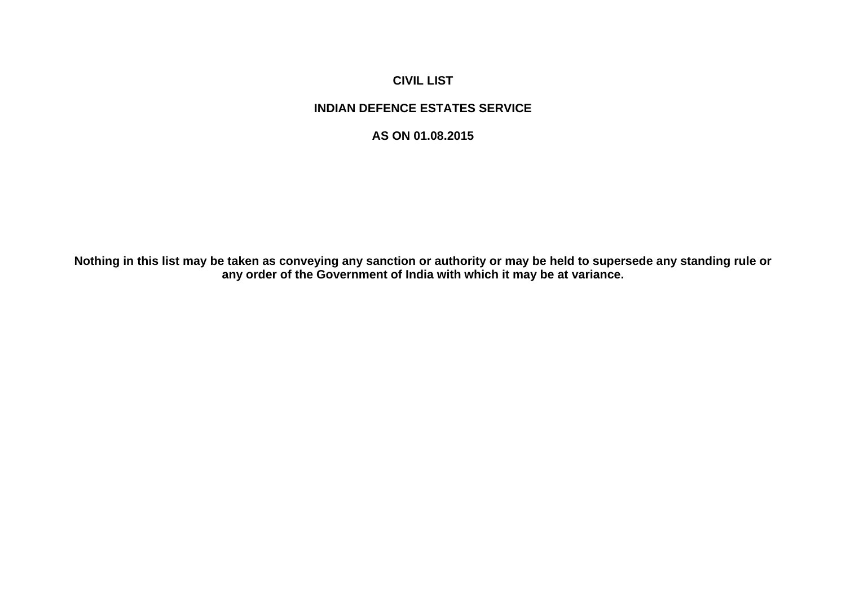# **CIVIL LIST**

# **INDIAN DEFENCE ESTATES SERVICE**

### **AS ON 01.08.2015**

**Nothing in this list may be taken as conveying any sanction or authority or may be held to supersede any standing rule or any order of the Government of India with which it may be at variance.**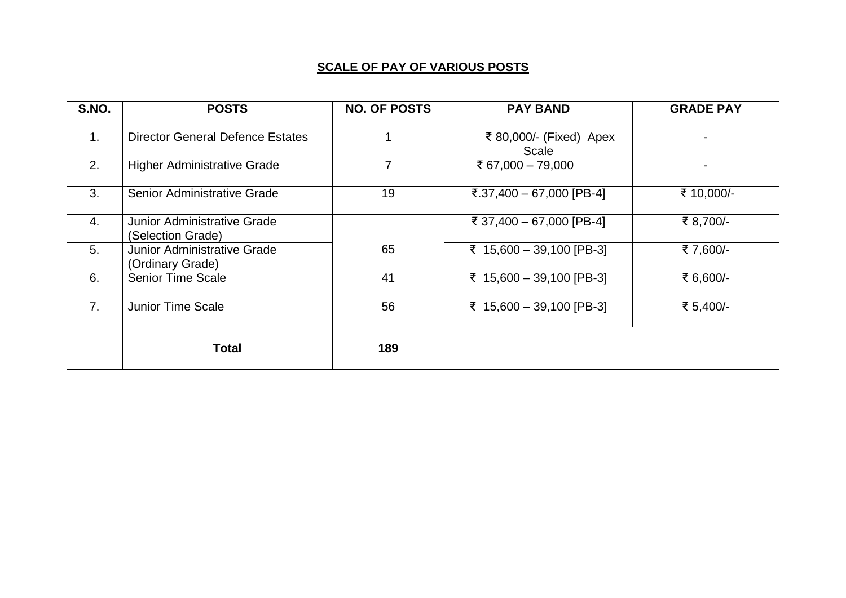# **SCALE OF PAY OF VARIOUS POSTS**

| S.NO.          | <b>POSTS</b>                                           | <b>NO. OF POSTS</b> | <b>PAY BAND</b>                  | <b>GRADE PAY</b> |
|----------------|--------------------------------------------------------|---------------------|----------------------------------|------------------|
| 1 <sub>1</sub> | <b>Director General Defence Estates</b>                |                     | ₹ 80,000/- (Fixed) Apex<br>Scale |                  |
| 2.             | <b>Higher Administrative Grade</b>                     | $\overline{7}$      | ₹ 67,000 - 79,000                | Ξ.               |
| 3.             | Senior Administrative Grade                            | 19                  | ₹.37,400 - 67,000 [PB-4]         | ₹ 10,000/-       |
| 4.             | Junior Administrative Grade<br>(Selection Grade)       |                     | ₹ 37,400 - 67,000 [PB-4]         | ₹ 8,700/-        |
| 5.             | <b>Junior Administrative Grade</b><br>(Ordinary Grade) | 65                  | ₹ 15,600 - 39,100 [PB-3]         | ₹7,600/-         |
| 6.             | <b>Senior Time Scale</b>                               | 41                  | ₹ 15,600 - 39,100 [PB-3]         | ₹ 6,600/-        |
| 7 <sub>1</sub> | <b>Junior Time Scale</b>                               | 56                  | ₹ 15,600 - 39,100 [PB-3]         | ₹ 5,400/-        |
|                | <b>Total</b>                                           | 189                 |                                  |                  |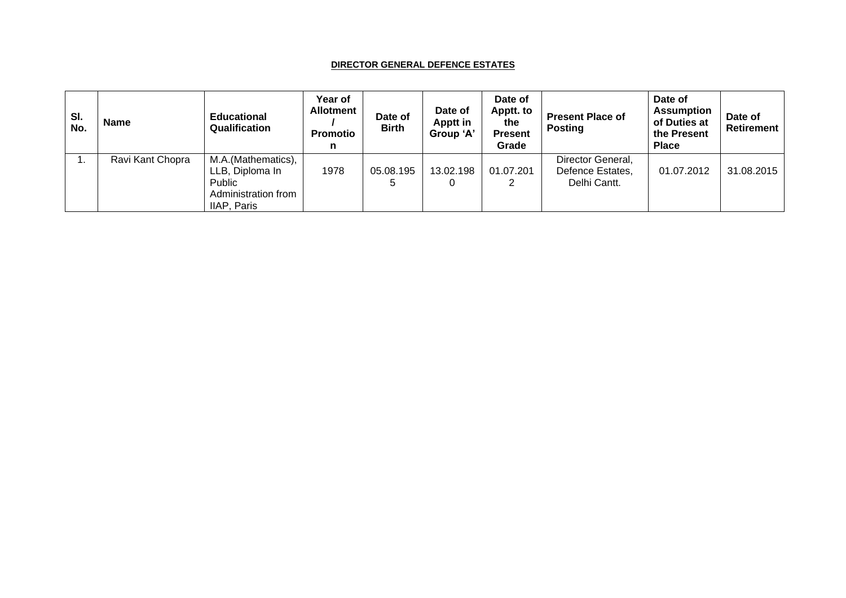#### **DIRECTOR GENERAL DEFENCE ESTATES**

| SI.<br>No. | <b>Name</b>      | <b>Educational</b><br>Qualification                                                   | Year of<br><b>Allotment</b><br><b>Promotio</b> | Date of<br><b>Birth</b> | Date of<br>Apptt in<br>Group 'A' | Date of<br>Apptt. to<br>the<br><b>Present</b><br>Grade | <b>Present Place of</b><br><b>Posting</b>             | Date of<br><b>Assumption</b><br>of Duties at<br>the Present<br><b>Place</b> | Date of<br>Retirement |
|------------|------------------|---------------------------------------------------------------------------------------|------------------------------------------------|-------------------------|----------------------------------|--------------------------------------------------------|-------------------------------------------------------|-----------------------------------------------------------------------------|-----------------------|
|            | Ravi Kant Chopra | M.A.(Mathematics),<br>LLB. Diploma In<br>Public<br>Administration from<br>IIAP, Paris | 1978                                           | 05.08.195               | 13.02.198<br>0                   | 01.07.201                                              | Director General,<br>Defence Estates,<br>Delhi Cantt. | 01.07.2012                                                                  | 31.08.2015            |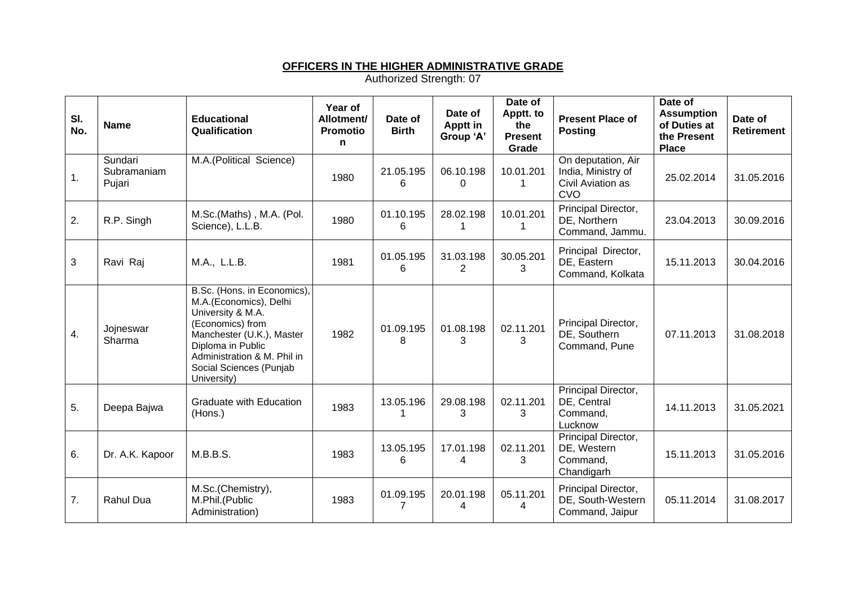#### **OFFICERS IN THE HIGHER ADMINISTRATIVE GRADE**

| SI.<br>No. | <b>Name</b>                      | <b>Educational</b><br>Qualification                                                                                                                                                                                       | Year of<br>Allotment/<br>Promotio<br>n | Date of<br><b>Birth</b>     | Date of<br>Apptt in<br>Group 'A' | Date of<br>Apptt. to<br>the<br><b>Present</b><br>Grade | <b>Present Place of</b><br><b>Posting</b>                            | Date of<br><b>Assumption</b><br>of Duties at<br>the Present<br><b>Place</b> | Date of<br>Retirement |
|------------|----------------------------------|---------------------------------------------------------------------------------------------------------------------------------------------------------------------------------------------------------------------------|----------------------------------------|-----------------------------|----------------------------------|--------------------------------------------------------|----------------------------------------------------------------------|-----------------------------------------------------------------------------|-----------------------|
| 1.         | Sundari<br>Subramaniam<br>Pujari | M.A.(Political Science)                                                                                                                                                                                                   | 1980                                   | 21.05.195<br>6              | 06.10.198<br>0                   | 10.01.201<br>-1                                        | On deputation, Air<br>India, Ministry of<br>Civil Aviation as<br>CVO | 25.02.2014                                                                  | 31.05.2016            |
| 2.         | R.P. Singh                       | M.Sc.(Maths), M.A. (Pol.<br>Science), L.L.B.                                                                                                                                                                              | 1980                                   | 01.10.195<br>6              | 28.02.198<br>1                   | 10.01.201                                              | Principal Director,<br>DE, Northern<br>Command, Jammu.               | 23.04.2013                                                                  | 30.09.2016            |
| 3          | Ravi Raj                         | M.A., L.L.B.                                                                                                                                                                                                              | 1981                                   | 01.05.195<br>6              | 31.03.198<br>$\overline{2}$      | 30.05.201<br>3                                         | Principal Director,<br>DE, Eastern<br>Command, Kolkata               | 15.11.2013                                                                  | 30.04.2016            |
| 4.         | Jojneswar<br>Sharma              | B.Sc. (Hons. in Economics),<br>M.A.(Economics), Delhi<br>University & M.A.<br>(Economics) from<br>Manchester (U.K.), Master<br>Diploma in Public<br>Administration & M. Phil in<br>Social Sciences (Punjab<br>University) | 1982                                   | 01.09.195<br>8              | 01.08.198<br>3                   | 02.11.201<br>3                                         | Principal Director,<br>DE, Southern<br>Command, Pune                 | 07.11.2013                                                                  | 31.08.2018            |
| 5.         | Deepa Bajwa                      | Graduate with Education<br>(Hons.)                                                                                                                                                                                        | 1983                                   | 13.05.196                   | 29.08.198<br>3                   | 02.11.201<br>3                                         | Principal Director,<br>DE, Central<br>Command,<br>Lucknow            | 14.11.2013                                                                  | 31.05.2021            |
| 6.         | Dr. A.K. Kapoor                  | M.B.B.S.                                                                                                                                                                                                                  | 1983                                   | 13.05.195<br>6              | 17.01.198<br>4                   | 02.11.201<br>3                                         | Principal Director,<br>DE, Western<br>Command,<br>Chandigarh         | 15.11.2013                                                                  | 31.05.2016            |
| 7.         | <b>Rahul Dua</b>                 | M.Sc.(Chemistry),<br>M.Phil.(Public<br>Administration)                                                                                                                                                                    | 1983                                   | 01.09.195<br>$\overline{7}$ | 20.01.198<br>4                   | 05.11.201<br>4                                         | Principal Director,<br>DE, South-Western<br>Command, Jaipur          | 05.11.2014                                                                  | 31.08.2017            |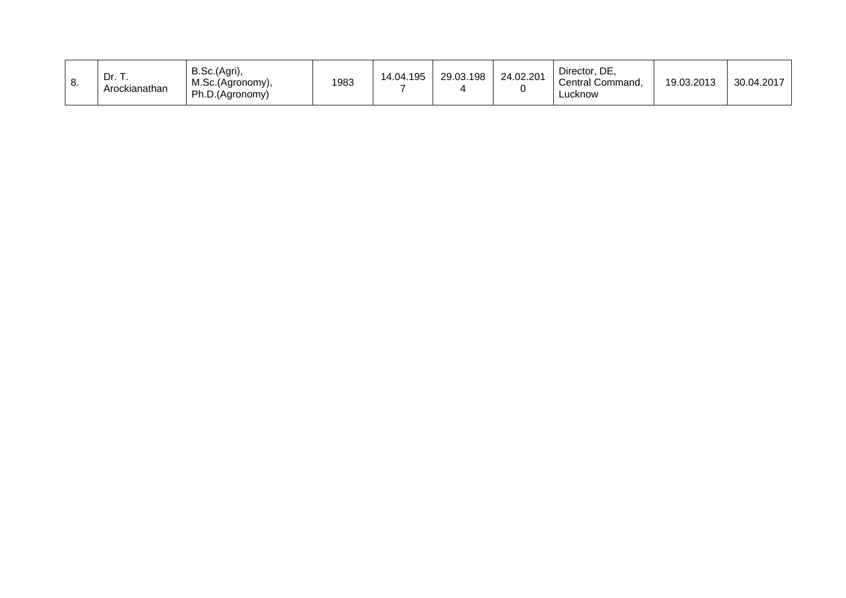| U. | Dr. T.<br>Arockianathan | B.Sc.(Agri),<br>M.Sc.(Agronomy),<br>Ph.D.(Agronomy) | 1983 | 14.04.195 | 29.03.198 | 24.02.201 | Director, DE,<br>Central Command,<br>∟ucknow | 19.03.2013 | 30.04.2017 |  |
|----|-------------------------|-----------------------------------------------------|------|-----------|-----------|-----------|----------------------------------------------|------------|------------|--|
|----|-------------------------|-----------------------------------------------------|------|-----------|-----------|-----------|----------------------------------------------|------------|------------|--|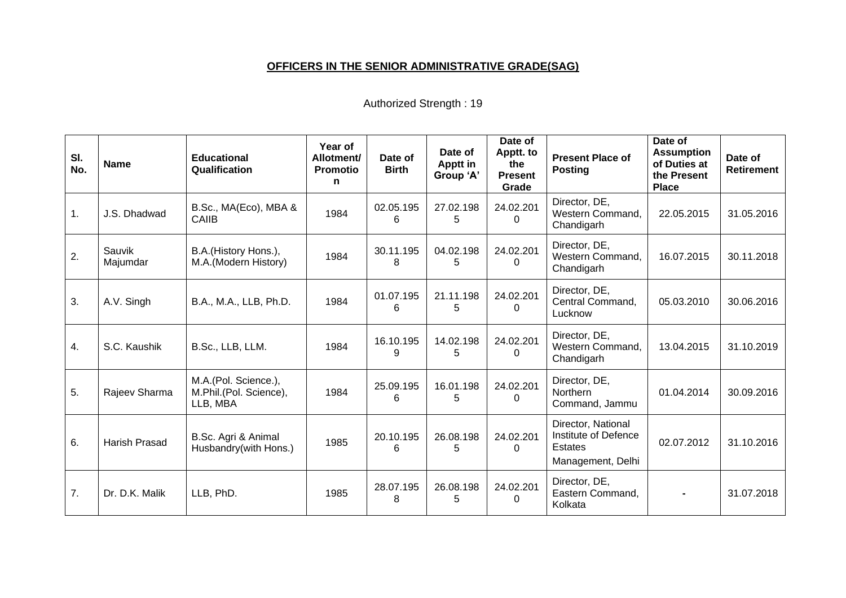## **OFFICERS IN THE SENIOR ADMINISTRATIVE GRADE(SAG)**

| SI.<br>No. | <b>Name</b>          | <b>Educational</b><br>Qualification                        | Year of<br>Allotment/<br><b>Promotio</b><br>n | Date of<br><b>Birth</b> | Date of<br>Apptt in<br>Group 'A' | Date of<br>Apptt. to<br>the<br><b>Present</b><br>Grade | <b>Present Place of</b><br><b>Posting</b>                                         | Date of<br><b>Assumption</b><br>of Duties at<br>the Present<br><b>Place</b> | Date of<br><b>Retirement</b> |
|------------|----------------------|------------------------------------------------------------|-----------------------------------------------|-------------------------|----------------------------------|--------------------------------------------------------|-----------------------------------------------------------------------------------|-----------------------------------------------------------------------------|------------------------------|
| 1.         | J.S. Dhadwad         | B.Sc., MA(Eco), MBA &<br>CAIIB                             | 1984                                          | 02.05.195<br>6          | 27.02.198<br>5                   | 24.02.201                                              | Director, DE,<br>Western Command,<br>Chandigarh                                   | 22.05.2015                                                                  | 31.05.2016                   |
| 2.         | Sauvik<br>Majumdar   | B.A. (History Hons.),<br>M.A.(Modern History)              | 1984                                          | 30.11.195<br>8          | 04.02.198<br>5                   | 24.02.201                                              | Director, DE,<br>Western Command,<br>Chandigarh                                   | 16.07.2015                                                                  | 30.11.2018                   |
| 3.         | A.V. Singh           | B.A., M.A., LLB, Ph.D.                                     | 1984                                          | 01.07.195<br>6          | 21.11.198<br>5                   | 24.02.201<br>0                                         | Director, DE,<br>Central Command,<br>Lucknow                                      | 05.03.2010                                                                  | 30.06.2016                   |
| 4.         | S.C. Kaushik         | B.Sc., LLB, LLM.                                           | 1984                                          | 16.10.195<br>9          | 14.02.198<br>5                   | 24.02.201                                              | Director, DE,<br>Western Command,<br>Chandigarh                                   | 13.04.2015                                                                  | 31.10.2019                   |
| 5.         | Rajeev Sharma        | M.A.(Pol. Science.),<br>M.Phil.(Pol. Science),<br>LLB, MBA | 1984                                          | 25.09.195<br>6          | 16.01.198<br>5                   | 24.02.201<br>0                                         | Director, DE,<br><b>Northern</b><br>Command, Jammu                                | 01.04.2014                                                                  | 30.09.2016                   |
| 6.         | <b>Harish Prasad</b> | B.Sc. Agri & Animal<br>Husbandry(with Hons.)               | 1985                                          | 20.10.195<br>6          | 26.08.198<br>5                   | 24.02.201<br>$\Omega$                                  | Director, National<br>Institute of Defence<br><b>Estates</b><br>Management, Delhi | 02.07.2012                                                                  | 31.10.2016                   |
| 7.         | Dr. D.K. Malik       | LLB, PhD.                                                  | 1985                                          | 28.07.195<br>8          | 26.08.198<br>5                   | 24.02.201<br>0                                         | Director, DE,<br>Eastern Command,<br>Kolkata                                      |                                                                             | 31.07.2018                   |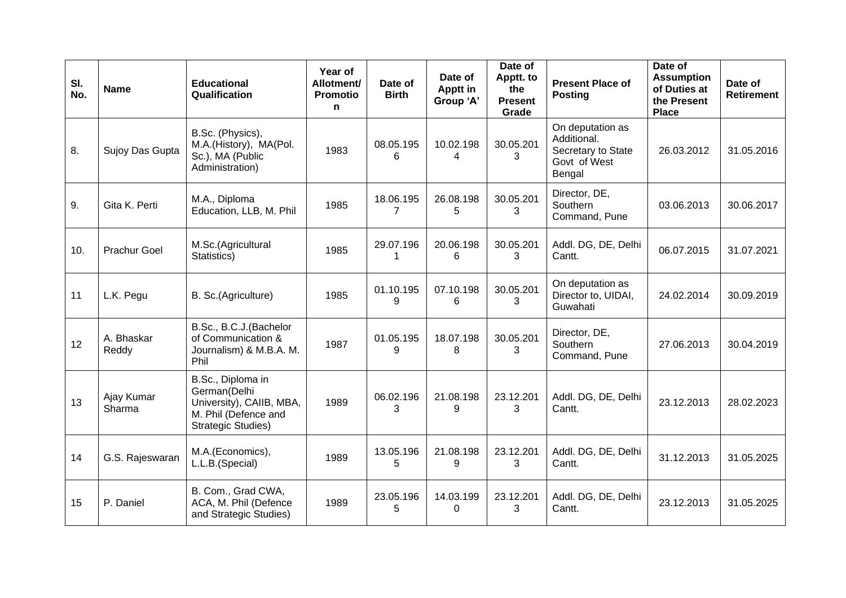| SI.<br>No. | <b>Name</b>          | <b>Educational</b><br>Qualification                                                                                | Year of<br>Allotment/<br><b>Promotio</b><br>n | Date of<br><b>Birth</b>  | Date of<br><b>Apptt in</b><br>Group 'A' | Date of<br>Apptt. to<br>the<br><b>Present</b><br>Grade | <b>Present Place of</b><br><b>Posting</b>                                       | Date of<br><b>Assumption</b><br>of Duties at<br>the Present<br><b>Place</b> | Date of<br><b>Retirement</b> |
|------------|----------------------|--------------------------------------------------------------------------------------------------------------------|-----------------------------------------------|--------------------------|-----------------------------------------|--------------------------------------------------------|---------------------------------------------------------------------------------|-----------------------------------------------------------------------------|------------------------------|
| 8.         | Sujoy Das Gupta      | B.Sc. (Physics),<br>M.A.(History), MA(Pol.<br>Sc.), MA (Public<br>Administration)                                  | 1983                                          | 08.05.195<br>6           | 10.02.198<br>4                          | 30.05.201<br>3                                         | On deputation as<br>Additional.<br>Secretary to State<br>Govt of West<br>Bengal | 26.03.2012                                                                  | 31.05.2016                   |
| 9.         | Gita K. Perti        | M.A., Diploma<br>Education, LLB, M. Phil                                                                           | 1985                                          | 18.06.195<br>7           | 26.08.198<br>5                          | 30.05.201<br>3                                         | Director, DE,<br>Southern<br>Command, Pune                                      | 03.06.2013                                                                  | 30.06.2017                   |
| 10.        | <b>Prachur Goel</b>  | M.Sc.(Agricultural<br>Statistics)                                                                                  | 1985                                          | 29.07.196<br>$\mathbf 1$ | 20.06.198<br>6                          | 30.05.201<br>3                                         | Addl. DG, DE, Delhi<br>Cantt.                                                   | 06.07.2015                                                                  | 31.07.2021                   |
| 11         | L.K. Pegu            | B. Sc.(Agriculture)                                                                                                | 1985                                          | 01.10.195<br>9           | 07.10.198<br>6                          | 30.05.201<br>3                                         | On deputation as<br>Director to, UIDAI,<br>Guwahati                             | 24.02.2014                                                                  | 30.09.2019                   |
| 12         | A. Bhaskar<br>Reddy  | B.Sc., B.C.J.(Bachelor<br>of Communication &<br>Journalism) & M.B.A. M.<br>Phil                                    | 1987                                          | 01.05.195<br>9           | 18.07.198<br>8                          | 30.05.201<br>3                                         | Director, DE,<br>Southern<br>Command, Pune                                      | 27.06.2013                                                                  | 30.04.2019                   |
| 13         | Ajay Kumar<br>Sharma | B.Sc., Diploma in<br>German(Delhi<br>University), CAIIB, MBA,<br>M. Phil (Defence and<br><b>Strategic Studies)</b> | 1989                                          | 06.02.196<br>3           | 21.08.198<br>9                          | 23.12.201<br>3                                         | Addl. DG, DE, Delhi<br>Cantt.                                                   | 23.12.2013                                                                  | 28.02.2023                   |
| 14         | G.S. Rajeswaran      | M.A.(Economics),<br>L.L.B.(Special)                                                                                | 1989                                          | 13.05.196<br>5           | 21.08.198<br>9                          | 23.12.201<br>3                                         | Addl. DG, DE, Delhi<br>Cantt.                                                   | 31.12.2013                                                                  | 31.05.2025                   |
| 15         | P. Daniel            | B. Com., Grad CWA,<br>ACA, M. Phil (Defence<br>and Strategic Studies)                                              | 1989                                          | 23.05.196<br>5           | 14.03.199<br>$\Omega$                   | 23.12.201<br>3                                         | Addl. DG, DE, Delhi<br>Cantt.                                                   | 23.12.2013                                                                  | 31.05.2025                   |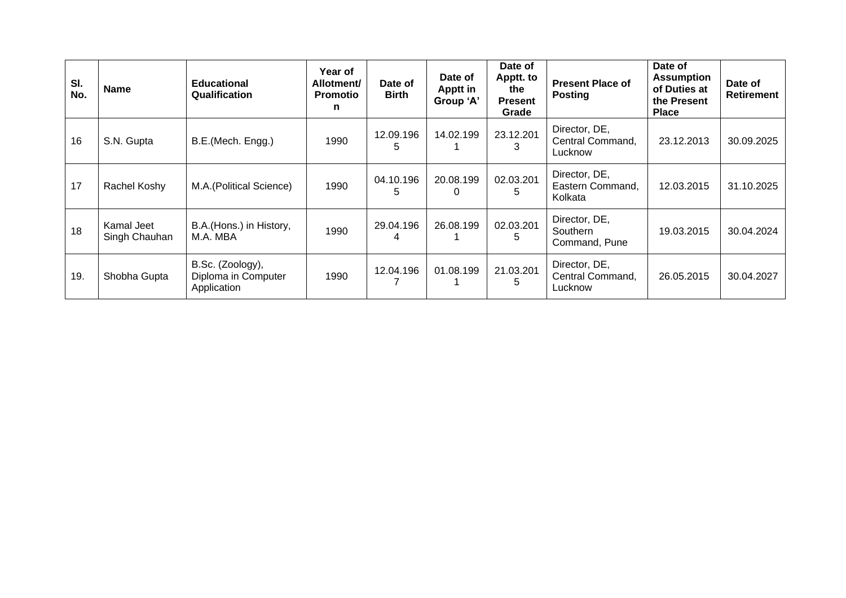| SI.<br>No. | <b>Name</b>                 | <b>Educational</b><br>Qualification                    | <b>Year of</b><br>Allotment/<br><b>Promotio</b><br>n | Date of<br><b>Birth</b> | Date of<br>Apptt in<br>Group 'A' | Date of<br>Apptt. to<br>the<br><b>Present</b><br>Grade | <b>Present Place of</b><br><b>Posting</b>    | Date of<br><b>Assumption</b><br>of Duties at<br>the Present<br><b>Place</b> | Date of<br><b>Retirement</b> |
|------------|-----------------------------|--------------------------------------------------------|------------------------------------------------------|-------------------------|----------------------------------|--------------------------------------------------------|----------------------------------------------|-----------------------------------------------------------------------------|------------------------------|
| 16         | S.N. Gupta                  | B.E.(Mech. Engg.)                                      | 1990                                                 | 12.09.196<br>5          | 14.02.199                        | 23.12.201                                              | Director, DE,<br>Central Command,<br>Lucknow | 23.12.2013                                                                  | 30.09.2025                   |
| 17         | Rachel Koshy                | M.A. (Political Science)                               | 1990                                                 | 04.10.196<br>5          | 20.08.199<br>0                   | 02.03.201<br>5                                         | Director, DE,<br>Eastern Command,<br>Kolkata | 12.03.2015                                                                  | 31.10.2025                   |
| 18         | Kamal Jeet<br>Singh Chauhan | B.A.(Hons.) in History,<br>M.A. MBA                    | 1990                                                 | 29.04.196<br>4          | 26.08.199                        | 02.03.201                                              | Director, DE,<br>Southern<br>Command, Pune   | 19.03.2015                                                                  | 30.04.2024                   |
| 19.        | Shobha Gupta                | B.Sc. (Zoology),<br>Diploma in Computer<br>Application | 1990                                                 | 12.04.196               | 01.08.199                        | 21.03.201<br>5                                         | Director, DE,<br>Central Command,<br>Lucknow | 26.05.2015                                                                  | 30.04.2027                   |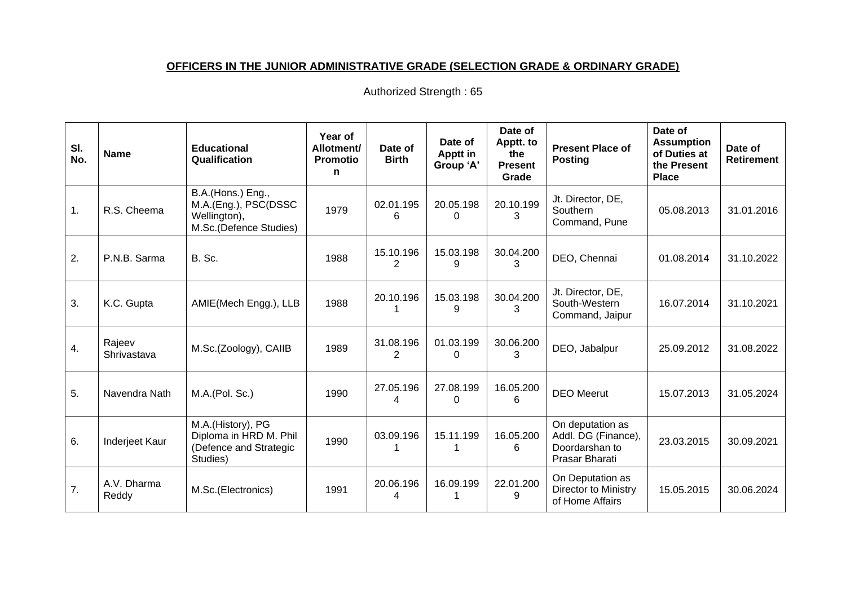# **OFFICERS IN THE JUNIOR ADMINISTRATIVE GRADE (SELECTION GRADE & ORDINARY GRADE)**

| SI.<br>No. | <b>Name</b>           | <b>Educational</b><br>Qualification                                                 | Year of<br>Allotment/<br><b>Promotio</b><br>n | Date of<br><b>Birth</b> | Date of<br><b>Apptt in</b><br>Group 'A' | Date of<br>Apptt. to<br>the<br><b>Present</b><br>Grade | <b>Present Place of</b><br><b>Posting</b>                                   | Date of<br><b>Assumption</b><br>of Duties at<br>the Present<br><b>Place</b> | Date of<br>Retirement |
|------------|-----------------------|-------------------------------------------------------------------------------------|-----------------------------------------------|-------------------------|-----------------------------------------|--------------------------------------------------------|-----------------------------------------------------------------------------|-----------------------------------------------------------------------------|-----------------------|
| 1.         | R.S. Cheema           | B.A.(Hons.) Eng.,<br>M.A.(Eng.), PSC(DSSC<br>Wellington),<br>M.Sc.(Defence Studies) | 1979                                          | 02.01.195<br>6          | 20.05.198<br>0                          | 20.10.199<br>3                                         | Jt. Director, DE,<br>Southern<br>Command, Pune                              | 05.08.2013                                                                  | 31.01.2016            |
| 2.         | P.N.B. Sarma          | B. Sc.                                                                              | 1988                                          | 15.10.196<br>2          | 15.03.198<br>9                          | 30.04.200<br>3                                         | DEO, Chennai                                                                | 01.08.2014                                                                  | 31.10.2022            |
| 3.         | K.C. Gupta            | AMIE(Mech Engg.), LLB                                                               | 1988                                          | 20.10.196               | 15.03.198<br>9                          | 30.04.200<br>3                                         | Jt. Director, DE,<br>South-Western<br>Command, Jaipur                       | 16.07.2014                                                                  | 31.10.2021            |
| 4.         | Rajeev<br>Shrivastava | M.Sc.(Zoology), CAIIB                                                               | 1989                                          | 31.08.196<br>2          | 01.03.199<br>$\Omega$                   | 30.06.200<br>3                                         | DEO, Jabalpur                                                               | 25.09.2012                                                                  | 31.08.2022            |
| 5.         | Navendra Nath         | M.A.(Pol. Sc.)                                                                      | 1990                                          | 27.05.196<br>4          | 27.08.199<br>$\Omega$                   | 16.05.200<br>6                                         | <b>DEO</b> Meerut                                                           | 15.07.2013                                                                  | 31.05.2024            |
| 6.         | Inderjeet Kaur        | M.A.(History), PG<br>Diploma in HRD M. Phil<br>(Defence and Strategic<br>Studies)   | 1990                                          | 03.09.196               | 15.11.199                               | 16.05.200<br>6                                         | On deputation as<br>Addl. DG (Finance),<br>Doordarshan to<br>Prasar Bharati | 23.03.2015                                                                  | 30.09.2021            |
| 7.         | A.V. Dharma<br>Reddy  | M.Sc.(Electronics)                                                                  | 1991                                          | 20.06.196<br>4          | 16.09.199                               | 22.01.200<br>9                                         | On Deputation as<br>Director to Ministry<br>of Home Affairs                 | 15.05.2015                                                                  | 30.06.2024            |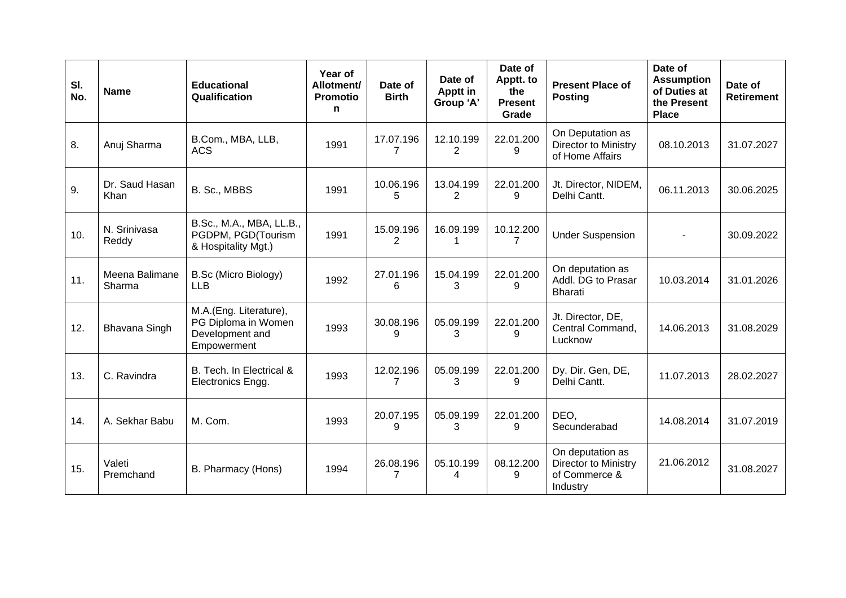| SI.<br>No. | <b>Name</b>              | <b>Educational</b><br>Qualification                                             | Year of<br>Allotment/<br>Promotio<br>n | Date of<br><b>Birth</b>     | Date of<br><b>Apptt in</b><br>Group 'A' | Date of<br>Apptt. to<br>the<br><b>Present</b><br>Grade | <b>Present Place of</b><br><b>Posting</b>                             | Date of<br><b>Assumption</b><br>of Duties at<br>the Present<br><b>Place</b> | Date of<br><b>Retirement</b> |
|------------|--------------------------|---------------------------------------------------------------------------------|----------------------------------------|-----------------------------|-----------------------------------------|--------------------------------------------------------|-----------------------------------------------------------------------|-----------------------------------------------------------------------------|------------------------------|
| 8.         | Anuj Sharma              | B.Com., MBA, LLB,<br><b>ACS</b>                                                 | 1991                                   | 17.07.196<br>$\overline{7}$ | 12.10.199<br>$\overline{2}$             | 22.01.200<br>9                                         | On Deputation as<br><b>Director to Ministry</b><br>of Home Affairs    | 08.10.2013                                                                  | 31.07.2027                   |
| 9.         | Dr. Saud Hasan<br>Khan   | B. Sc., MBBS                                                                    | 1991                                   | 10.06.196<br>5              | 13.04.199<br>$\overline{2}$             | 22.01.200<br>9                                         | Jt. Director, NIDEM,<br>Delhi Cantt.                                  | 06.11.2013                                                                  | 30.06.2025                   |
| 10.        | N. Srinivasa<br>Reddy    | B.Sc., M.A., MBA, LL.B.,<br>PGDPM, PGD(Tourism<br>& Hospitality Mgt.)           | 1991                                   | 15.09.196<br>2              | 16.09.199<br>1                          | 10.12.200                                              | <b>Under Suspension</b>                                               |                                                                             | 30.09.2022                   |
| 11.        | Meena Balimane<br>Sharma | <b>B.Sc (Micro Biology)</b><br><b>LLB</b>                                       | 1992                                   | 27.01.196<br>6              | 15.04.199<br>3                          | 22.01.200<br>9                                         | On deputation as<br>Addl. DG to Prasar<br><b>Bharati</b>              | 10.03.2014                                                                  | 31.01.2026                   |
| 12.        | Bhavana Singh            | M.A.(Eng. Literature),<br>PG Diploma in Women<br>Development and<br>Empowerment | 1993                                   | 30.08.196<br>9              | 05.09.199<br>3                          | 22.01.200<br>9                                         | Jt. Director, DE,<br>Central Command,<br>Lucknow                      | 14.06.2013                                                                  | 31.08.2029                   |
| 13.        | C. Ravindra              | B. Tech. In Electrical &<br>Electronics Engg.                                   | 1993                                   | 12.02.196<br>7              | 05.09.199<br>3                          | 22.01.200<br>9                                         | Dy. Dir. Gen, DE,<br>Delhi Cantt.                                     | 11.07.2013                                                                  | 28.02.2027                   |
| 14.        | A. Sekhar Babu           | M. Com.                                                                         | 1993                                   | 20.07.195<br>9              | 05.09.199<br>3                          | 22.01.200<br>9                                         | DEO.<br>Secunderabad                                                  | 14.08.2014                                                                  | 31.07.2019                   |
| 15.        | Valeti<br>Premchand      | B. Pharmacy (Hons)                                                              | 1994                                   | 26.08.196<br>7              | 05.10.199<br>4                          | 08.12.200<br>9                                         | On deputation as<br>Director to Ministry<br>of Commerce &<br>Industry | 21.06.2012                                                                  | 31.08.2027                   |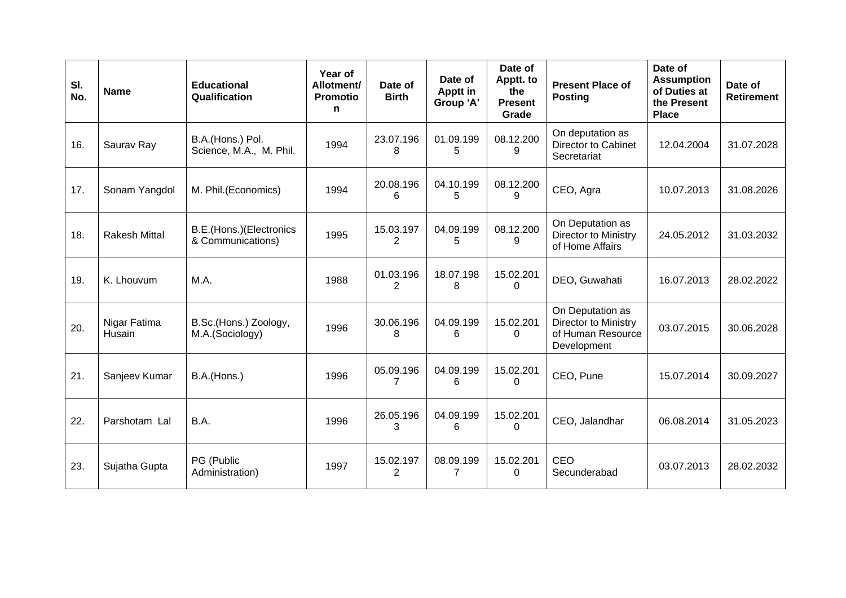| SI.<br>No. | <b>Name</b>            | <b>Educational</b><br>Qualification          | Year of<br>Allotment/<br><b>Promotio</b><br>n | Date of<br><b>Birth</b>     | Date of<br><b>Apptt in</b><br>Group 'A' | Date of<br>Apptt. to<br>the<br><b>Present</b><br>Grade | <b>Present Place of</b><br><b>Posting</b>                                    | Date of<br><b>Assumption</b><br>of Duties at<br>the Present<br><b>Place</b> | Date of<br><b>Retirement</b> |
|------------|------------------------|----------------------------------------------|-----------------------------------------------|-----------------------------|-----------------------------------------|--------------------------------------------------------|------------------------------------------------------------------------------|-----------------------------------------------------------------------------|------------------------------|
| 16.        | Saurav Ray             | B.A.(Hons.) Pol.<br>Science, M.A., M. Phil.  | 1994                                          | 23.07.196<br>8              | 01.09.199<br>5                          | 08.12.200<br>9                                         | On deputation as<br>Director to Cabinet<br>Secretariat                       | 12.04.2004                                                                  | 31.07.2028                   |
| 17.        | Sonam Yangdol          | M. Phil.(Economics)                          | 1994                                          | 20.08.196<br>6              | 04.10.199<br>5                          | 08.12.200<br>9                                         | CEO, Agra                                                                    | 10.07.2013                                                                  | 31.08.2026                   |
| 18.        | Rakesh Mittal          | B.E.(Hons.)(Electronics<br>& Communications) | 1995                                          | 15.03.197<br>2              | 04.09.199<br>5                          | 08.12.200<br>9                                         | On Deputation as<br>Director to Ministry<br>of Home Affairs                  | 24.05.2012                                                                  | 31.03.2032                   |
| 19.        | K. Lhouvum             | M.A.                                         | 1988                                          | 01.03.196<br>2              | 18.07.198<br>8                          | 15.02.201<br>$\Omega$                                  | DEO, Guwahati                                                                | 16.07.2013                                                                  | 28.02.2022                   |
| 20.        | Nigar Fatima<br>Husain | B.Sc.(Hons.) Zoology,<br>M.A.(Sociology)     | 1996                                          | 30.06.196<br>8              | 04.09.199<br>6                          | 15.02.201<br>0                                         | On Deputation as<br>Director to Ministry<br>of Human Resource<br>Development | 03.07.2015                                                                  | 30.06.2028                   |
| 21.        | Sanjeev Kumar          | B.A.(Hons.)                                  | 1996                                          | 05.09.196<br>$\overline{7}$ | 04.09.199<br>6                          | 15.02.201<br>$\Omega$                                  | CEO, Pune                                                                    | 15.07.2014                                                                  | 30.09.2027                   |
| 22.        | Parshotam Lal          | B.A.                                         | 1996                                          | 26.05.196<br>3              | 04.09.199<br>6                          | 15.02.201<br>0                                         | CEO, Jalandhar                                                               | 06.08.2014                                                                  | 31.05.2023                   |
| 23.        | Sujatha Gupta          | PG (Public<br>Administration)                | 1997                                          | 15.02.197<br>$\overline{2}$ | 08.09.199<br>7                          | 15.02.201<br>0                                         | CEO<br>Secunderabad                                                          | 03.07.2013                                                                  | 28.02.2032                   |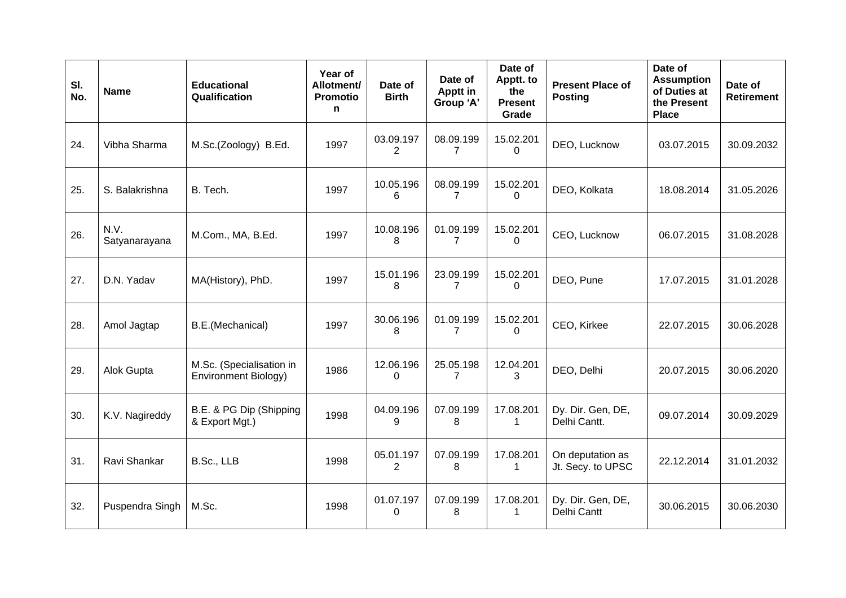| SI.<br>No. | <b>Name</b>           | <b>Educational</b><br>Qualification              | Year of<br>Allotment/<br><b>Promotio</b><br>n | Date of<br><b>Birth</b>     | Date of<br>Apptt in<br>Group 'A' | Date of<br>Apptt. to<br>the<br><b>Present</b><br>Grade | <b>Present Place of</b><br><b>Posting</b> | Date of<br><b>Assumption</b><br>of Duties at<br>the Present<br><b>Place</b> | Date of<br><b>Retirement</b> |
|------------|-----------------------|--------------------------------------------------|-----------------------------------------------|-----------------------------|----------------------------------|--------------------------------------------------------|-------------------------------------------|-----------------------------------------------------------------------------|------------------------------|
| 24.        | Vibha Sharma          | M.Sc.(Zoology) B.Ed.                             | 1997                                          | 03.09.197<br>$\overline{2}$ | 08.09.199<br>$\overline{7}$      | 15.02.201<br>$\Omega$                                  | DEO, Lucknow                              | 03.07.2015                                                                  | 30.09.2032                   |
| 25.        | S. Balakrishna        | B. Tech.                                         | 1997                                          | 10.05.196<br>6              | 08.09.199<br>$\overline{7}$      | 15.02.201<br>0                                         | DEO, Kolkata                              | 18.08.2014                                                                  | 31.05.2026                   |
| 26.        | N.V.<br>Satyanarayana | M.Com., MA, B.Ed.                                | 1997                                          | 10.08.196<br>8              | 01.09.199<br>$\overline{7}$      | 15.02.201<br>$\Omega$                                  | CEO, Lucknow                              | 06.07.2015                                                                  | 31.08.2028                   |
| 27.        | D.N. Yadav            | MA(History), PhD.                                | 1997                                          | 15.01.196<br>8              | 23.09.199<br>7                   | 15.02.201<br>$\Omega$                                  | DEO, Pune                                 | 17.07.2015                                                                  | 31.01.2028                   |
| 28.        | Amol Jagtap           | B.E.(Mechanical)                                 | 1997                                          | 30.06.196<br>8              | 01.09.199<br>7                   | 15.02.201<br>$\Omega$                                  | CEO, Kirkee                               | 22.07.2015                                                                  | 30.06.2028                   |
| 29.        | Alok Gupta            | M.Sc. (Specialisation in<br>Environment Biology) | 1986                                          | 12.06.196<br>$\mathbf{0}$   | 25.05.198<br>7                   | 12.04.201<br>3                                         | DEO, Delhi                                | 20.07.2015                                                                  | 30.06.2020                   |
| 30.        | K.V. Nagireddy        | B.E. & PG Dip (Shipping<br>& Export Mgt.)        | 1998                                          | 04.09.196<br>9              | 07.09.199<br>8                   | 17.08.201<br>1                                         | Dy. Dir. Gen, DE,<br>Delhi Cantt.         | 09.07.2014                                                                  | 30.09.2029                   |
| 31.        | Ravi Shankar          | B.Sc., LLB                                       | 1998                                          | 05.01.197<br>2              | 07.09.199<br>8                   | 17.08.201<br>1                                         | On deputation as<br>Jt. Secy. to UPSC     | 22.12.2014                                                                  | 31.01.2032                   |
| 32.        | Puspendra Singh       | M.Sc.                                            | 1998                                          | 01.07.197<br>0              | 07.09.199<br>8                   | 17.08.201<br>1                                         | Dy. Dir. Gen, DE,<br>Delhi Cantt          | 30.06.2015                                                                  | 30.06.2030                   |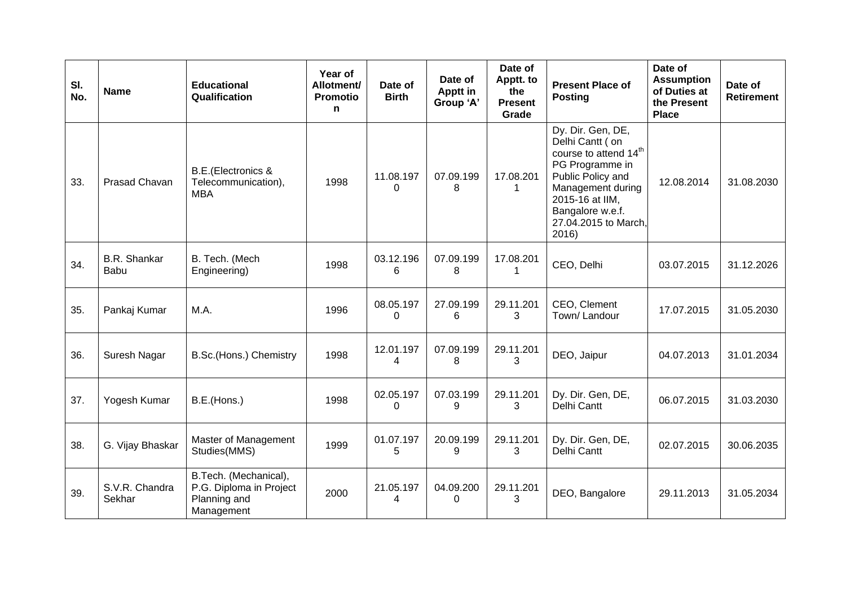| SI.<br>No. | <b>Name</b>                 | <b>Educational</b><br>Qualification                                            | Year of<br>Allotment/<br><b>Promotio</b><br>n | Date of<br><b>Birth</b>  | Date of<br>Apptt in<br>Group 'A' | Date of<br>Apptt. to<br>the<br><b>Present</b><br>Grade | <b>Present Place of</b><br><b>Posting</b>                                                                                                                                                                      | Date of<br><b>Assumption</b><br>of Duties at<br>the Present<br><b>Place</b> | Date of<br><b>Retirement</b> |
|------------|-----------------------------|--------------------------------------------------------------------------------|-----------------------------------------------|--------------------------|----------------------------------|--------------------------------------------------------|----------------------------------------------------------------------------------------------------------------------------------------------------------------------------------------------------------------|-----------------------------------------------------------------------------|------------------------------|
| 33.        | <b>Prasad Chavan</b>        | <b>B.E.</b> (Electronics &<br>Telecommunication),<br><b>MBA</b>                | 1998                                          | 11.08.197<br>$\Omega$    | 07.09.199<br>8                   | 17.08.201                                              | Dy. Dir. Gen, DE,<br>Delhi Cantt (on<br>course to attend 14 <sup>th</sup><br>PG Programme in<br>Public Policy and<br>Management during<br>2015-16 at IIM,<br>Bangalore w.e.f.<br>27.04.2015 to March,<br>2016) | 12.08.2014                                                                  | 31.08.2030                   |
| 34.        | <b>B.R.</b> Shankar<br>Babu | B. Tech. (Mech<br>Engineering)                                                 | 1998                                          | 03.12.196<br>6           | 07.09.199<br>8                   | 17.08.201<br>1                                         | CEO, Delhi                                                                                                                                                                                                     | 03.07.2015                                                                  | 31.12.2026                   |
| 35.        | Pankaj Kumar                | M.A.                                                                           | 1996                                          | 08.05.197<br>$\mathbf 0$ | 27.09.199<br>6                   | 29.11.201<br>3                                         | CEO, Clement<br>Town/Landour                                                                                                                                                                                   | 17.07.2015                                                                  | 31.05.2030                   |
| 36.        | Suresh Nagar                | B.Sc.(Hons.) Chemistry                                                         | 1998                                          | 12.01.197<br>4           | 07.09.199<br>8                   | 29.11.201<br>3                                         | DEO, Jaipur                                                                                                                                                                                                    | 04.07.2013                                                                  | 31.01.2034                   |
| 37.        | Yogesh Kumar                | B.E.(Hons.)                                                                    | 1998                                          | 02.05.197<br>$\Omega$    | 07.03.199<br>9                   | 29.11.201<br>3                                         | Dy. Dir. Gen, DE,<br>Delhi Cantt                                                                                                                                                                               | 06.07.2015                                                                  | 31.03.2030                   |
| 38.        | G. Vijay Bhaskar            | Master of Management<br>Studies(MMS)                                           | 1999                                          | 01.07.197<br>5           | 20.09.199<br>9                   | 29.11.201<br>3                                         | Dy. Dir. Gen, DE,<br>Delhi Cantt                                                                                                                                                                               | 02.07.2015                                                                  | 30.06.2035                   |
| 39.        | S.V.R. Chandra<br>Sekhar    | B.Tech. (Mechanical),<br>P.G. Diploma in Project<br>Planning and<br>Management | 2000                                          | 21.05.197<br>4           | 04.09.200<br>$\Omega$            | 29.11.201<br>3                                         | DEO, Bangalore                                                                                                                                                                                                 | 29.11.2013                                                                  | 31.05.2034                   |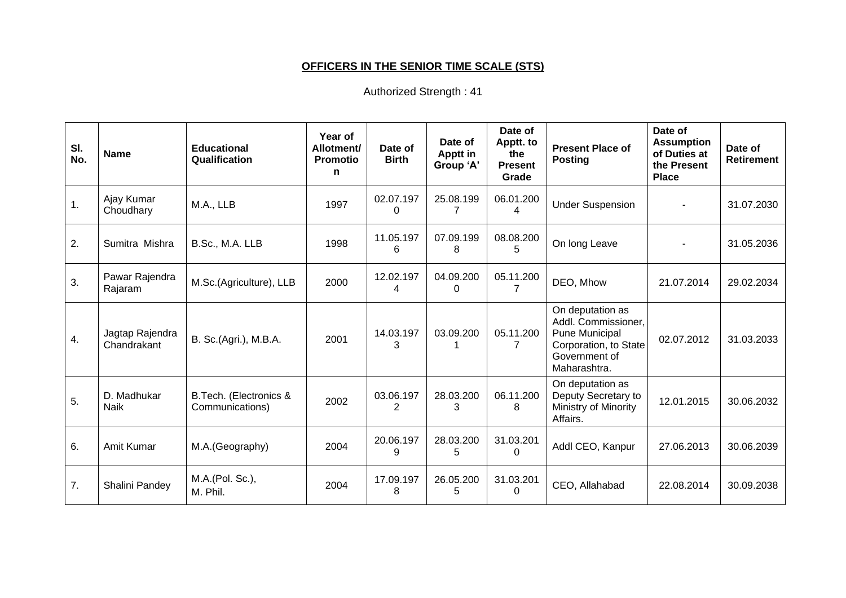# **OFFICERS IN THE SENIOR TIME SCALE (STS)**

| SI.<br>No. | <b>Name</b>                    | <b>Educational</b><br>Qualification       | Year of<br>Allotment/<br><b>Promotio</b><br>n | Date of<br><b>Birth</b> | Date of<br><b>Apptt in</b><br>Group 'A' | Date of<br>Apptt. to<br>the<br><b>Present</b><br>Grade | <b>Present Place of</b><br><b>Posting</b>                                                                           | Date of<br><b>Assumption</b><br>of Duties at<br>the Present<br><b>Place</b> | Date of<br><b>Retirement</b> |
|------------|--------------------------------|-------------------------------------------|-----------------------------------------------|-------------------------|-----------------------------------------|--------------------------------------------------------|---------------------------------------------------------------------------------------------------------------------|-----------------------------------------------------------------------------|------------------------------|
| 1.         | Ajay Kumar<br>Choudhary        | M.A., LLB                                 | 1997                                          | 02.07.197<br>0          | 25.08.199<br>7                          | 06.01.200<br>4                                         | <b>Under Suspension</b>                                                                                             |                                                                             | 31.07.2030                   |
| 2.         | Sumitra Mishra                 | B.Sc., M.A. LLB                           | 1998                                          | 11.05.197<br>6          | 07.09.199<br>8                          | 08.08.200<br>5.                                        | On long Leave                                                                                                       |                                                                             | 31.05.2036                   |
| 3.         | Pawar Rajendra<br>Rajaram      | M.Sc.(Agriculture), LLB                   | 2000                                          | 12.02.197<br>4          | 04.09.200<br>$\Omega$                   | 05.11.200                                              | DEO, Mhow                                                                                                           | 21.07.2014                                                                  | 29.02.2034                   |
| 4.         | Jagtap Rajendra<br>Chandrakant | B. Sc.(Agri.), M.B.A.                     | 2001                                          | 14.03.197<br>3          | 03.09.200                               | 05.11.200<br>7                                         | On deputation as<br>Addl. Commissioner,<br>Pune Municipal<br>Corporation, to State<br>Government of<br>Maharashtra. | 02.07.2012                                                                  | 31.03.2033                   |
| 5.         | D. Madhukar<br><b>Naik</b>     | B.Tech. (Electronics &<br>Communications) | 2002                                          | 03.06.197<br>2          | 28.03.200<br>3                          | 06.11.200<br>8                                         | On deputation as<br>Deputy Secretary to<br>Ministry of Minority<br>Affairs.                                         | 12.01.2015                                                                  | 30.06.2032                   |
| 6.         | Amit Kumar                     | M.A.(Geography)                           | 2004                                          | 20.06.197<br>9          | 28.03.200<br>5                          | 31.03.201<br><sup>0</sup>                              | Addl CEO, Kanpur                                                                                                    | 27.06.2013                                                                  | 30.06.2039                   |
| 7.         | Shalini Pandey                 | M.A.(Pol. Sc.),<br>M. Phil.               | 2004                                          | 17.09.197<br>8          | 26.05.200<br>5                          | 31.03.201<br>0                                         | CEO, Allahabad                                                                                                      | 22.08.2014                                                                  | 30.09.2038                   |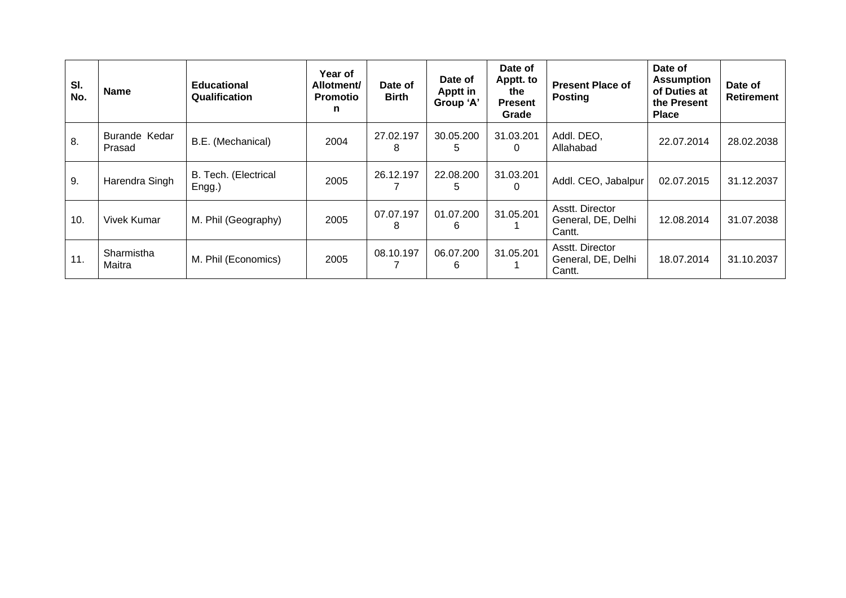| SI.<br>No. | <b>Name</b>             | <b>Educational</b><br>Qualification | Year of<br>Allotment/<br><b>Promotio</b><br>n | Date of<br><b>Birth</b> | Date of<br><b>Apptt in</b><br>Group 'A' | Date of<br>Apptt. to<br>the<br><b>Present</b><br>Grade | <b>Present Place of</b><br><b>Posting</b>       | Date of<br><b>Assumption</b><br>of Duties at<br>the Present<br><b>Place</b> | Date of<br><b>Retirement</b> |
|------------|-------------------------|-------------------------------------|-----------------------------------------------|-------------------------|-----------------------------------------|--------------------------------------------------------|-------------------------------------------------|-----------------------------------------------------------------------------|------------------------------|
| 8.         | Burande Kedar<br>Prasad | B.E. (Mechanical)                   | 2004                                          | 27.02.197<br>8          | 30.05.200<br>5                          | 31.03.201<br>0                                         | Addl. DEO,<br>Allahabad                         | 22.07.2014                                                                  | 28.02.2038                   |
| 9.         | Harendra Singh          | B. Tech. (Electrical<br>Engg.)      | 2005                                          | 26.12.197               | 22.08.200<br>5                          | 31.03.201                                              | Addl. CEO, Jabalpur                             | 02.07.2015                                                                  | 31.12.2037                   |
| 10.        | Vivek Kumar             | M. Phil (Geography)                 | 2005                                          | 07.07.197<br>8          | 01.07.200<br>6                          | 31.05.201                                              | Asstt. Director<br>General, DE, Delhi<br>Cantt. | 12.08.2014                                                                  | 31.07.2038                   |
| 11.        | Sharmistha<br>Maitra    | M. Phil (Economics)                 | 2005                                          | 08.10.197               | 06.07.200<br>6                          | 31.05.201                                              | Asstt. Director<br>General, DE, Delhi<br>Cantt. | 18.07.2014                                                                  | 31.10.2037                   |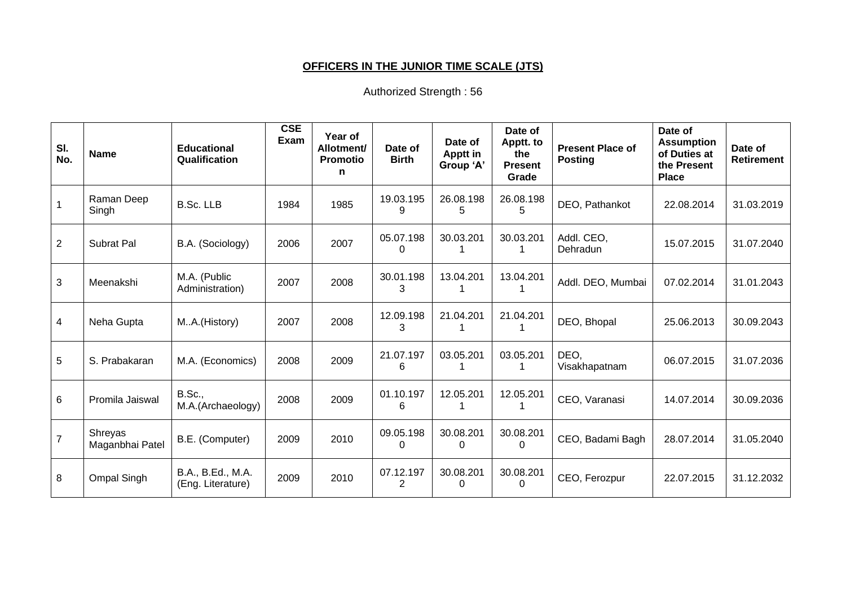# **OFFICERS IN THE JUNIOR TIME SCALE (JTS)**

| SI.<br>No.      | <b>Name</b>                       | <b>Educational</b><br>Qualification    | <b>CSE</b><br>Exam | Year of<br>Allotment/<br><b>Promotio</b><br>n | Date of<br><b>Birth</b>     | Date of<br>Apptt in<br>Group 'A' | Date of<br>Apptt. to<br>the<br><b>Present</b><br>Grade | <b>Present Place of</b><br><b>Posting</b> | Date of<br><b>Assumption</b><br>of Duties at<br>the Present<br><b>Place</b> | Date of<br><b>Retirement</b> |
|-----------------|-----------------------------------|----------------------------------------|--------------------|-----------------------------------------------|-----------------------------|----------------------------------|--------------------------------------------------------|-------------------------------------------|-----------------------------------------------------------------------------|------------------------------|
| $\overline{1}$  | Raman Deep<br>Singh               | <b>B.Sc. LLB</b>                       | 1984               | 1985                                          | 19.03.195<br>9              | 26.08.198<br>5                   | 26.08.198<br>5                                         | DEO, Pathankot                            | 22.08.2014                                                                  | 31.03.2019                   |
| $\overline{2}$  | <b>Subrat Pal</b>                 | B.A. (Sociology)                       | 2006               | 2007                                          | 05.07.198<br>0              | 30.03.201                        | 30.03.201                                              | Addl. CEO,<br>Dehradun                    | 15.07.2015                                                                  | 31.07.2040                   |
| $\mathbf{3}$    | Meenakshi                         | M.A. (Public<br>Administration)        | 2007               | 2008                                          | 30.01.198<br>3              | 13.04.201                        | 13.04.201                                              | Addl. DEO, Mumbai                         | 07.02.2014                                                                  | 31.01.2043                   |
| $\overline{4}$  | Neha Gupta                        | MA.(History)                           | 2007               | 2008                                          | 12.09.198<br>3              | 21.04.201                        | 21.04.201                                              | DEO, Bhopal                               | 25.06.2013                                                                  | 30.09.2043                   |
| $5\phantom{.0}$ | S. Prabakaran                     | M.A. (Economics)                       | 2008               | 2009                                          | 21.07.197<br>6              | 03.05.201                        | 03.05.201                                              | DEO,<br>Visakhapatnam                     | 06.07.2015                                                                  | 31.07.2036                   |
| 6               | Promila Jaiswal                   | <b>B.Sc.,</b><br>M.A.(Archaeology)     | 2008               | 2009                                          | 01.10.197<br>6              | 12.05.201                        | 12.05.201                                              | CEO, Varanasi                             | 14.07.2014                                                                  | 30.09.2036                   |
| $\overline{7}$  | <b>Shreyas</b><br>Maganbhai Patel | B.E. (Computer)                        | 2009               | 2010                                          | 09.05.198<br>0              | 30.08.201<br>0                   | 30.08.201<br>$\Omega$                                  | CEO, Badami Bagh                          | 28.07.2014                                                                  | 31.05.2040                   |
| 8               | <b>Ompal Singh</b>                | B.A., B.Ed., M.A.<br>(Eng. Literature) | 2009               | 2010                                          | 07.12.197<br>$\overline{2}$ | 30.08.201<br>0                   | 30.08.201<br>$\Omega$                                  | CEO, Ferozpur                             | 22.07.2015                                                                  | 31.12.2032                   |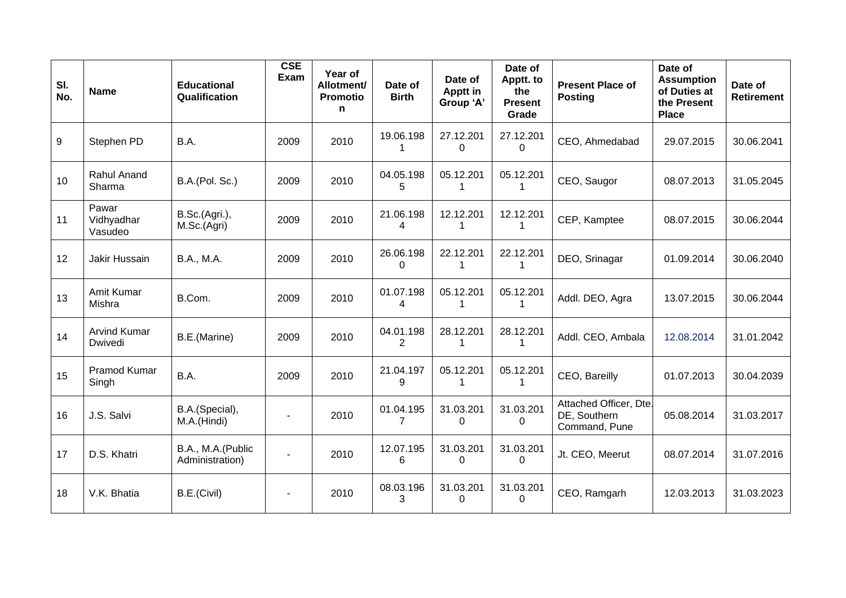| SI.<br>No. | <b>Name</b>                    | <b>Educational</b><br>Qualification  | <b>CSE</b><br>Exam | Year of<br>Allotment/<br><b>Promotio</b><br>n | Date of<br><b>Birth</b>     | Date of<br><b>Apptt in</b><br>Group 'A' | Date of<br>Apptt. to<br>the<br><b>Present</b><br>Grade | <b>Present Place of</b><br><b>Posting</b>               | Date of<br><b>Assumption</b><br>of Duties at<br>the Present<br><b>Place</b> | Date of<br><b>Retirement</b> |
|------------|--------------------------------|--------------------------------------|--------------------|-----------------------------------------------|-----------------------------|-----------------------------------------|--------------------------------------------------------|---------------------------------------------------------|-----------------------------------------------------------------------------|------------------------------|
| 9          | Stephen PD                     | B.A.                                 | 2009               | 2010                                          | 19.06.198<br>1              | 27.12.201<br>$\mathbf 0$                | 27.12.201<br>$\mathbf 0$                               | CEO, Ahmedabad                                          | 29.07.2015                                                                  | 30.06.2041                   |
| 10         | Rahul Anand<br>Sharma          | B.A.(Pol. Sc.)                       | 2009               | 2010                                          | 04.05.198<br>5              | 05.12.201<br>1                          | 05.12.201                                              | CEO, Saugor                                             | 08.07.2013                                                                  | 31.05.2045                   |
| 11         | Pawar<br>Vidhyadhar<br>Vasudeo | B.Sc.(Agri.),<br>M.Sc.(Agri)         | 2009               | 2010                                          | 21.06.198<br>4              | 12.12.201<br>1                          | 12.12.201<br>1                                         | CEP, Kamptee                                            | 08.07.2015                                                                  | 30.06.2044                   |
| 12         | Jakir Hussain                  | <b>B.A., M.A.</b>                    | 2009               | 2010                                          | 26.06.198<br>$\Omega$       | 22.12.201<br>1                          | 22.12.201<br>1                                         | DEO, Srinagar                                           | 01.09.2014                                                                  | 30.06.2040                   |
| 13         | Amit Kumar<br>Mishra           | B.Com.                               | 2009               | 2010                                          | 01.07.198<br>4              | 05.12.201<br>1                          | 05.12.201<br>1                                         | Addl. DEO, Agra                                         | 13.07.2015                                                                  | 30.06.2044                   |
| 14         | <b>Arvind Kumar</b><br>Dwivedi | B.E.(Marine)                         | 2009               | 2010                                          | 04.01.198<br>2              | 28.12.201<br>1                          | 28.12.201<br>1                                         | Addl. CEO, Ambala                                       | 12.08.2014                                                                  | 31.01.2042                   |
| 15         | <b>Pramod Kumar</b><br>Singh   | B.A.                                 | 2009               | 2010                                          | 21.04.197<br>9              | 05.12.201<br>1                          | 05.12.201<br>1                                         | CEO, Bareilly                                           | 01.07.2013                                                                  | 30.04.2039                   |
| 16         | J.S. Salvi                     | B.A.(Special),<br>M.A.(Hindi)        | $\blacksquare$     | 2010                                          | 01.04.195<br>$\overline{7}$ | 31.03.201<br>$\mathbf 0$                | 31.03.201<br>$\pmb{0}$                                 | Attached Officer, Dte.<br>DE, Southern<br>Command, Pune | 05.08.2014                                                                  | 31.03.2017                   |
| 17         | D.S. Khatri                    | B.A., M.A.(Public<br>Administration) |                    | 2010                                          | 12.07.195<br>6              | 31.03.201<br>$\mathbf 0$                | 31.03.201<br>$\mathbf 0$                               | Jt. CEO, Meerut                                         | 08.07.2014                                                                  | 31.07.2016                   |
| 18         | V.K. Bhatia                    | B.E.(Civil)                          | $\blacksquare$     | 2010                                          | 08.03.196<br>3              | 31.03.201<br>$\Omega$                   | 31.03.201<br>$\Omega$                                  | CEO, Ramgarh                                            | 12.03.2013                                                                  | 31.03.2023                   |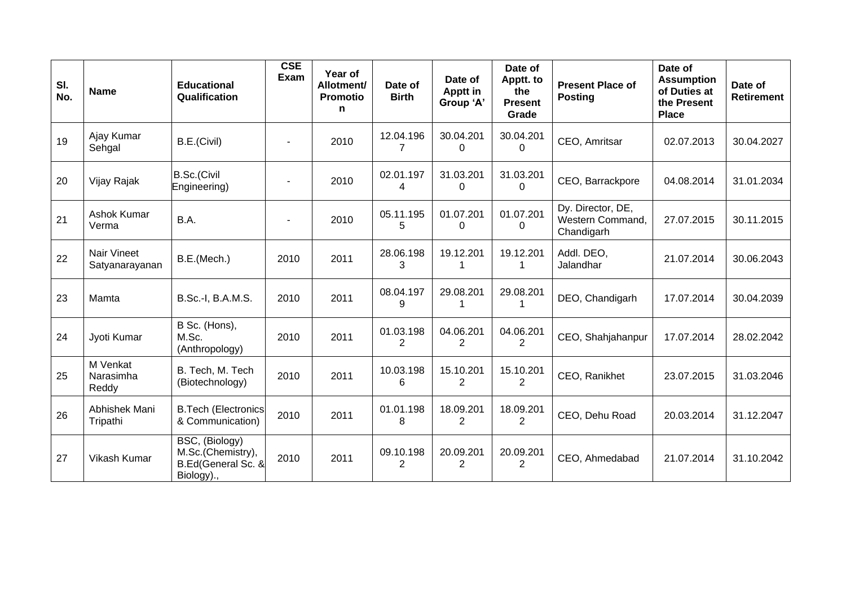| SI.<br>No. | <b>Name</b>                    | <b>Educational</b><br>Qualification                                     | <b>CSE</b><br>Exam | Year of<br>Allotment/<br><b>Promotio</b><br>n | Date of<br><b>Birth</b>     | Date of<br><b>Apptt in</b><br>Group 'A' | Date of<br>Apptt. to<br>the<br><b>Present</b><br>Grade | <b>Present Place of</b><br><b>Posting</b>           | Date of<br><b>Assumption</b><br>of Duties at<br>the Present<br><b>Place</b> | Date of<br>Retirement |
|------------|--------------------------------|-------------------------------------------------------------------------|--------------------|-----------------------------------------------|-----------------------------|-----------------------------------------|--------------------------------------------------------|-----------------------------------------------------|-----------------------------------------------------------------------------|-----------------------|
| 19         | Ajay Kumar<br>Sehgal           | B.E.(Civil)                                                             |                    | 2010                                          | 12.04.196<br>7              | 30.04.201<br>0                          | 30.04.201<br>0                                         | CEO, Amritsar                                       | 02.07.2013                                                                  | 30.04.2027            |
| 20         | Vijay Rajak                    | B.Sc.(Civil<br>Engineering)                                             |                    | 2010                                          | 02.01.197<br>4              | 31.03.201<br>$\Omega$                   | 31.03.201<br>0                                         | CEO, Barrackpore                                    | 04.08.2014                                                                  | 31.01.2034            |
| 21         | Ashok Kumar<br>Verma           | B.A.                                                                    |                    | 2010                                          | 05.11.195<br>5              | 01.07.201<br>0                          | 01.07.201<br>0                                         | Dy. Director, DE,<br>Western Command,<br>Chandigarh | 27.07.2015                                                                  | 30.11.2015            |
| 22         | Nair Vineet<br>Satyanarayanan  | B.E.(Mech.)                                                             | 2010               | 2011                                          | 28.06.198<br>3              | 19.12.201                               | 19.12.201<br>1                                         | Addl. DEO,<br>Jalandhar                             | 21.07.2014                                                                  | 30.06.2043            |
| 23         | Mamta                          | B.Sc.-I, B.A.M.S.                                                       | 2010               | 2011                                          | 08.04.197<br>9              | 29.08.201                               | 29.08.201                                              | DEO, Chandigarh                                     | 17.07.2014                                                                  | 30.04.2039            |
| 24         | Jyoti Kumar                    | B Sc. (Hons),<br>M.Sc.<br>(Anthropology)                                | 2010               | 2011                                          | 01.03.198<br>2              | 04.06.201<br>2                          | 04.06.201<br>2                                         | CEO, Shahjahanpur                                   | 17.07.2014                                                                  | 28.02.2042            |
| 25         | M Venkat<br>Narasimha<br>Reddy | B. Tech, M. Tech<br>(Biotechnology)                                     | 2010               | 2011                                          | 10.03.198<br>6              | 15.10.201<br>$\overline{2}$             | 15.10.201<br>2                                         | CEO, Ranikhet                                       | 23.07.2015                                                                  | 31.03.2046            |
| 26         | Abhishek Mani<br>Tripathi      | <b>B.Tech (Electronics</b><br>& Communication)                          | 2010               | 2011                                          | 01.01.198<br>8              | 18.09.201<br>$\overline{2}$             | 18.09.201<br>2                                         | CEO, Dehu Road                                      | 20.03.2014                                                                  | 31.12.2047            |
| 27         | Vikash Kumar                   | BSC, (Biology)<br>M.Sc.(Chemistry),<br>B.Ed(General Sc. &<br>Biology)., | 2010               | 2011                                          | 09.10.198<br>$\overline{2}$ | 20.09.201<br>$\overline{2}$             | 20.09.201<br>$\overline{2}$                            | CEO, Ahmedabad                                      | 21.07.2014                                                                  | 31.10.2042            |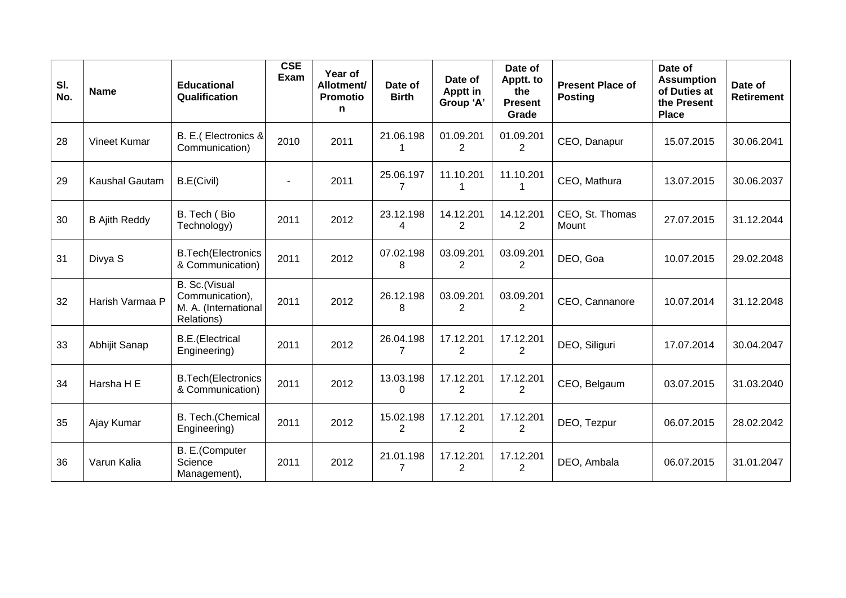| SI.<br>No. | <b>Name</b>          | <b>Educational</b><br>Qualification                                    | CSE<br>Exam | Year of<br>Allotment/<br><b>Promotio</b><br>n | Date of<br><b>Birth</b>     | Date of<br>Apptt in<br>Group 'A' | Date of<br>Apptt. to<br>the<br><b>Present</b><br>Grade | <b>Present Place of</b><br><b>Posting</b> | Date of<br><b>Assumption</b><br>of Duties at<br>the Present<br><b>Place</b> | Date of<br><b>Retirement</b> |
|------------|----------------------|------------------------------------------------------------------------|-------------|-----------------------------------------------|-----------------------------|----------------------------------|--------------------------------------------------------|-------------------------------------------|-----------------------------------------------------------------------------|------------------------------|
| 28         | Vineet Kumar         | B. E.(Electronics &<br>Communication)                                  | 2010        | 2011                                          | 21.06.198                   | 01.09.201<br>2                   | 01.09.201<br>2                                         | CEO, Danapur                              | 15.07.2015                                                                  | 30.06.2041                   |
| 29         | Kaushal Gautam       | B.E(Civil)                                                             |             | 2011                                          | 25.06.197<br>$\overline{7}$ | 11.10.201<br>1                   | 11.10.201<br>1                                         | CEO, Mathura                              | 13.07.2015                                                                  | 30.06.2037                   |
| 30         | <b>B</b> Ajith Reddy | B. Tech (Bio<br>Technology)                                            | 2011        | 2012                                          | 23.12.198<br>4              | 14.12.201<br>$\overline{2}$      | 14.12.201<br>$\overline{2}$                            | CEO, St. Thomas<br>Mount                  | 27.07.2015                                                                  | 31.12.2044                   |
| 31         | Divya S              | <b>B.Tech(Electronics</b><br>& Communication)                          | 2011        | 2012                                          | 07.02.198<br>8              | 03.09.201<br>2                   | 03.09.201<br>2                                         | DEO, Goa                                  | 10.07.2015                                                                  | 29.02.2048                   |
| 32         | Harish Varmaa P      | B. Sc.(Visual<br>Communication),<br>M. A. (International<br>Relations) | 2011        | 2012                                          | 26.12.198<br>8              | 03.09.201<br>$\overline{2}$      | 03.09.201<br>$\overline{2}$                            | CEO, Cannanore                            | 10.07.2014                                                                  | 31.12.2048                   |
| 33         | Abhijit Sanap        | <b>B.E.</b> (Electrical<br>Engineering)                                | 2011        | 2012                                          | 26.04.198<br>$\overline{7}$ | 17.12.201<br>$\overline{2}$      | 17.12.201<br>$\overline{2}$                            | DEO, Siliguri                             | 17.07.2014                                                                  | 30.04.2047                   |
| 34         | Harsha H E           | <b>B.Tech(Electronics</b><br>& Communication)                          | 2011        | 2012                                          | 13.03.198<br>0              | 17.12.201<br>$\overline{2}$      | 17.12.201<br>$\overline{2}$                            | CEO, Belgaum                              | 03.07.2015                                                                  | 31.03.2040                   |
| 35         | Ajay Kumar           | B. Tech. (Chemical<br>Engineering)                                     | 2011        | 2012                                          | 15.02.198<br>$\overline{2}$ | 17.12.201<br>$\overline{2}$      | 17.12.201<br>$\overline{2}$                            | DEO, Tezpur                               | 06.07.2015                                                                  | 28.02.2042                   |
| 36         | Varun Kalia          | B. E.(Computer<br>Science<br>Management),                              | 2011        | 2012                                          | 21.01.198<br>$\overline{7}$ | 17.12.201<br>$\overline{2}$      | 17.12.201<br>2                                         | DEO, Ambala                               | 06.07.2015                                                                  | 31.01.2047                   |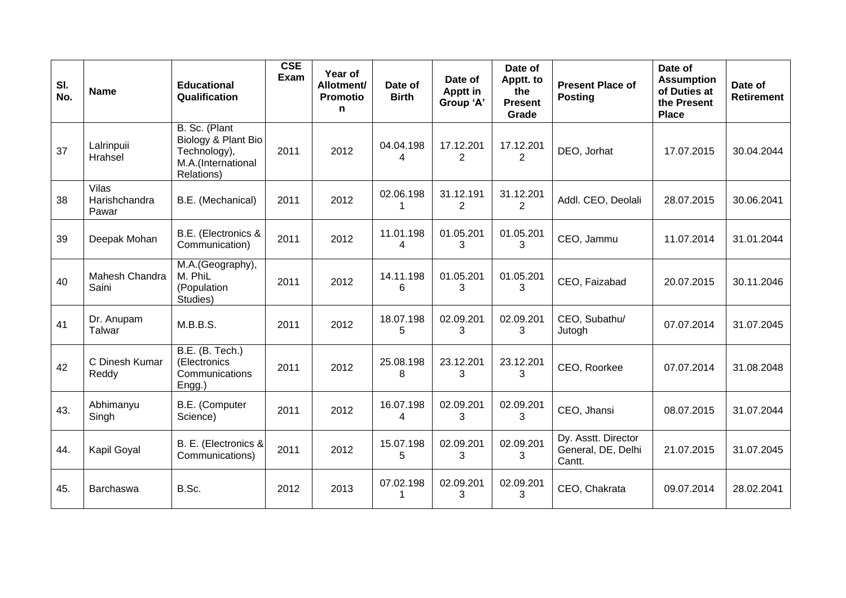| SI.<br>No. | <b>Name</b>                     | <b>Educational</b><br>Qualification                                                      | <b>CSE</b><br>Exam | Year of<br>Allotment/<br><b>Promotio</b><br>n | Date of<br><b>Birth</b> | Date of<br>Apptt in<br>Group 'A' | Date of<br>Apptt. to<br>the<br><b>Present</b><br>Grade | <b>Present Place of</b><br><b>Posting</b>           | Date of<br><b>Assumption</b><br>of Duties at<br>the Present<br><b>Place</b> | Date of<br><b>Retirement</b> |
|------------|---------------------------------|------------------------------------------------------------------------------------------|--------------------|-----------------------------------------------|-------------------------|----------------------------------|--------------------------------------------------------|-----------------------------------------------------|-----------------------------------------------------------------------------|------------------------------|
| 37         | Lalrinpuii<br>Hrahsel           | B. Sc. (Plant<br>Biology & Plant Bio<br>Technology),<br>M.A.(International<br>Relations) | 2011               | 2012                                          | 04.04.198<br>4          | 17.12.201<br>2                   | 17.12.201<br>2                                         | DEO, Jorhat                                         | 17.07.2015                                                                  | 30.04.2044                   |
| 38         | Vilas<br>Harishchandra<br>Pawar | B.E. (Mechanical)                                                                        | 2011               | 2012                                          | 02.06.198<br>1          | 31.12.191<br>2                   | 31.12.201<br>$\overline{2}$                            | Addl. CEO, Deolali                                  | 28.07.2015                                                                  | 30.06.2041                   |
| 39         | Deepak Mohan                    | B.E. (Electronics &<br>Communication)                                                    | 2011               | 2012                                          | 11.01.198<br>4          | 01.05.201<br>3                   | 01.05.201<br>3                                         | CEO, Jammu                                          | 11.07.2014                                                                  | 31.01.2044                   |
| 40         | Mahesh Chandra<br>Saini         | M.A.(Geography),<br>M. PhiL<br>(Population<br>Studies)                                   | 2011               | 2012                                          | 14.11.198<br>6          | 01.05.201<br>3                   | 01.05.201<br>3                                         | CEO, Faizabad                                       | 20.07.2015                                                                  | 30.11.2046                   |
| 41         | Dr. Anupam<br>Talwar            | M.B.B.S.                                                                                 | 2011               | 2012                                          | 18.07.198<br>5          | 02.09.201<br>3                   | 02.09.201<br>3                                         | CEO, Subathu/<br>Jutogh                             | 07.07.2014                                                                  | 31.07.2045                   |
| 42         | C Dinesh Kumar<br>Reddy         | B.E. (B. Tech.)<br>(Electronics<br>Communications<br>Engg.)                              | 2011               | 2012                                          | 25.08.198<br>8          | 23.12.201<br>3                   | 23.12.201<br>3                                         | CEO, Roorkee                                        | 07.07.2014                                                                  | 31.08.2048                   |
| 43.        | Abhimanyu<br>Singh              | B.E. (Computer<br>Science)                                                               | 2011               | 2012                                          | 16.07.198<br>4          | 02.09.201<br>3                   | 02.09.201<br>3                                         | CEO, Jhansi                                         | 08.07.2015                                                                  | 31.07.2044                   |
| 44.        | Kapil Goyal                     | B. E. (Electronics &<br>Communications)                                                  | 2011               | 2012                                          | 15.07.198<br>5          | 02.09.201<br>3                   | 02.09.201<br>3                                         | Dy. Asstt. Director<br>General, DE, Delhi<br>Cantt. | 21.07.2015                                                                  | 31.07.2045                   |
| 45.        | Barchaswa                       | B.Sc.                                                                                    | 2012               | 2013                                          | 07.02.198               | 02.09.201<br>3                   | 02.09.201<br>3                                         | CEO, Chakrata                                       | 09.07.2014                                                                  | 28.02.2041                   |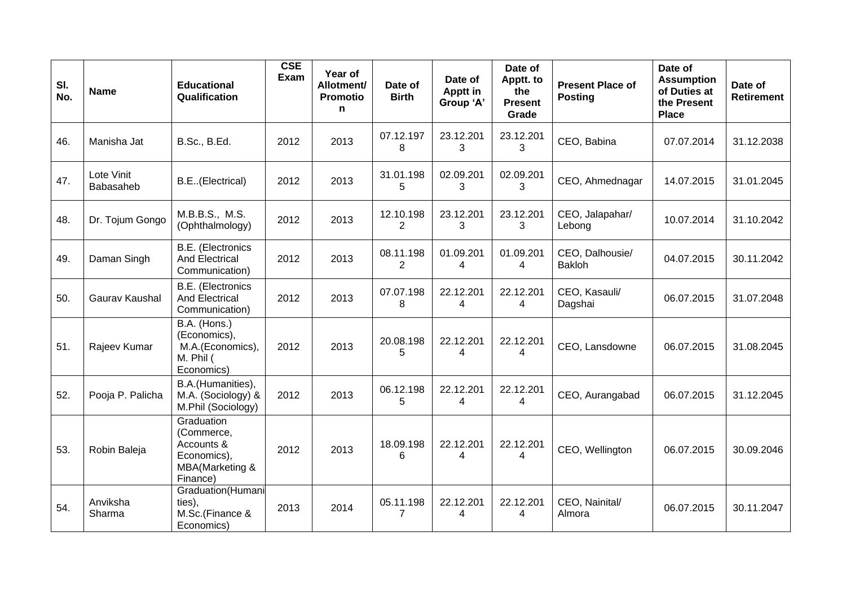| SI.<br>No. | <b>Name</b>             | <b>Educational</b><br>Qualification                                                  | <b>CSE</b><br>Exam | Year of<br>Allotment/<br><b>Promotio</b><br>n | Date of<br><b>Birth</b>     | Date of<br>Apptt in<br>Group 'A' | Date of<br>Apptt. to<br>the<br><b>Present</b><br>Grade | <b>Present Place of</b><br><b>Posting</b> | Date of<br><b>Assumption</b><br>of Duties at<br>the Present<br><b>Place</b> | Date of<br><b>Retirement</b> |
|------------|-------------------------|--------------------------------------------------------------------------------------|--------------------|-----------------------------------------------|-----------------------------|----------------------------------|--------------------------------------------------------|-------------------------------------------|-----------------------------------------------------------------------------|------------------------------|
| 46.        | Manisha Jat             | <b>B.Sc., B.Ed.</b>                                                                  | 2012               | 2013                                          | 07.12.197<br>8              | 23.12.201<br>3                   | 23.12.201<br>3                                         | CEO, Babina                               | 07.07.2014                                                                  | 31.12.2038                   |
| 47.        | Lote Vinit<br>Babasaheb | B.E. (Electrical)                                                                    | 2012               | 2013                                          | 31.01.198<br>5              | 02.09.201<br>3                   | 02.09.201<br>3                                         | CEO, Ahmednagar                           | 14.07.2015                                                                  | 31.01.2045                   |
| 48.        | Dr. Tojum Gongo         | M.B.B.S., M.S.<br>(Ophthalmology)                                                    | 2012               | 2013                                          | 12.10.198<br>$\overline{2}$ | 23.12.201<br>3                   | 23.12.201<br>3                                         | CEO, Jalapahar/<br>Lebong                 | 10.07.2014                                                                  | 31.10.2042                   |
| 49.        | Daman Singh             | <b>B.E.</b> (Electronics<br><b>And Electrical</b><br>Communication)                  | 2012               | 2013                                          | 08.11.198<br>$\overline{2}$ | 01.09.201<br>4                   | 01.09.201<br>$\overline{4}$                            | CEO, Dalhousie/<br><b>Bakloh</b>          | 04.07.2015                                                                  | 30.11.2042                   |
| 50.        | Gaurav Kaushal          | B.E. (Electronics<br><b>And Electrical</b><br>Communication)                         | 2012               | 2013                                          | 07.07.198<br>8              | 22.12.201<br>4                   | 22.12.201<br>4                                         | CEO, Kasauli/<br>Dagshai                  | 06.07.2015                                                                  | 31.07.2048                   |
| 51.        | Rajeev Kumar            | B.A. (Hons.)<br>(Economics),<br>M.A.(Economics),<br>M. Phil (<br>Economics)          | 2012               | 2013                                          | 20.08.198<br>5              | 22.12.201<br>4                   | 22.12.201<br>$\overline{\mathcal{A}}$                  | CEO, Lansdowne                            | 06.07.2015                                                                  | 31.08.2045                   |
| 52.        | Pooja P. Palicha        | B.A.(Humanities),<br>M.A. (Sociology) &<br>M.Phil (Sociology)                        | 2012               | 2013                                          | 06.12.198<br>5              | 22.12.201<br>4                   | 22.12.201<br>4                                         | CEO, Aurangabad                           | 06.07.2015                                                                  | 31.12.2045                   |
| 53.        | Robin Baleja            | Graduation<br>(Commerce,<br>Accounts &<br>Economics),<br>MBA(Marketing &<br>Finance) | 2012               | 2013                                          | 18.09.198<br>6              | 22.12.201<br>4                   | 22.12.201<br>4                                         | CEO, Wellington                           | 06.07.2015                                                                  | 30.09.2046                   |
| 54.        | Anviksha<br>Sharma      | Graduation(Humani<br>ties),<br>M.Sc.(Finance &<br>Economics)                         | 2013               | 2014                                          | 05.11.198<br>$\overline{7}$ | 22.12.201<br>4                   | 22.12.201<br>4                                         | CEO, Nainital/<br>Almora                  | 06.07.2015                                                                  | 30.11.2047                   |